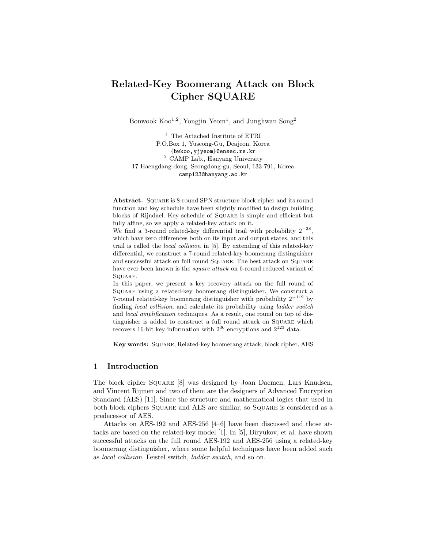# Related-Key Boomerang Attack on Block Cipher SQUARE

Bonwook  $\text{Koo}^{1,2}$ , Yongjin Yeom<sup>1</sup>, and Junghwan  $\text{Song}^2$ 

<sup>1</sup> The Attached Institute of ETRI P.O.Box 1, Yuseong-Gu, Deajeon, Korea {bwkoo,yjyeom}@ensec.re.kr <sup>2</sup> CAMP Lab., Hanyang University 17 Haengdang-dong, Seongdong-gu, Seoul, 133-791, Korea camp123@hanyang.ac.kr

Abstract. Square is 8-round SPN structure block cipher and its round function and key schedule have been slightly modified to design building blocks of Rijndael. Key schedule of Square is simple and efficient but fully affine, so we apply a related-key attack on it.

We find a 3-round related-key differential trail with probability  $2^{-28}$ , which have zero differences both on its input and output states, and this trail is called the local collision in [5]. By extending of this related-key differential, we construct a 7-round related-key boomerang distinguisher and successful attack on full round Square. The best attack on Square have ever been known is the *square attack* on 6-round reduced variant of SQUARE.

In this paper, we present a key recovery attack on the full round of Square using a related-key boomerang distinguisher. We construct a 7-round related-key boomerang distinguisher with probability  $2^{-119}$  by finding local collision, and calculate its probability using ladder switch and local amplification techniques. As a result, one round on top of distinguisher is added to construct a full round attack on Square which recovers 16-bit key information with  $2^{36}$  encryptions and  $2^{123}$  data.

Key words: Square, Related-key boomerang attack, block cipher, AES

# 1 Introduction

The block cipher Square [8] was designed by Joan Daemen, Lars Knudsen, and Vincent Rijmen and two of them are the designers of Advanced Encryption Standard (AES) [11]. Since the structure and mathematical logics that used in both block ciphers Square and AES are similar, so Square is considered as a predecessor of AES.

Attacks on AES-192 and AES-256 [4–6] have been discussed and those attacks are based on the related-key model [1]. In [5], Biryukov, et al. have shown successful attacks on the full round AES-192 and AES-256 using a related-key boomerang distinguisher, where some helpful techniques have been added such as local collision, Feistel switch, ladder switch, and so on.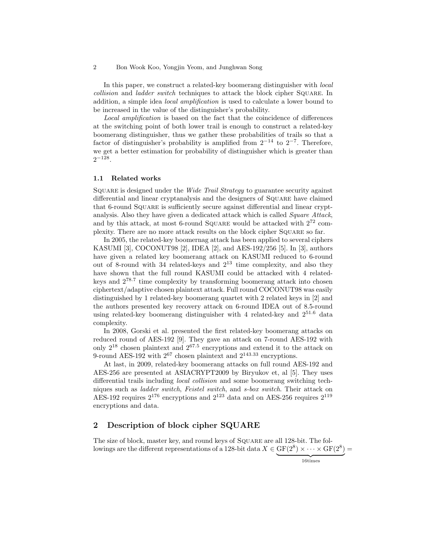In this paper, we construct a related-key boomerang distinguisher with *local* collision and ladder switch techniques to attack the block cipher SQUARE. In addition, a simple idea local amplification is used to calculate a lower bound to be increased in the value of the distinguisher's probability.

Local amplification is based on the fact that the coincidence of differences at the switching point of both lower trail is enough to construct a related-key boomerang distinguisher, thus we gather these probabilities of trails so that a factor of distinguisher's probability is amplified from  $2^{-14}$  to  $2^{-7}$ . Therefore, we get a better estimation for probability of distinguisher which is greater than  $2^{-128}.$ 

### 1.1 Related works

SQUARE is designed under the *Wide Trail Strategy* to guarantee security against differential and linear cryptanalysis and the designers of SQUARE have claimed that 6-round Square is sufficiently secure against differential and linear cryptanalysis. Also they have given a dedicated attack which is called *Square Attack*, and by this attack, at most 6-round SQUARE would be attacked with  $2^{72}$  complexity. There are no more attack results on the block cipher Square so far.

In 2005, the related-key boomernag attack has been applied to several ciphers KASUMI [3], COCONUT98 [2], IDEA [2], and AES-192/256 [5]. In [3], authors have given a related key boomerang attack on KASUMI reduced to 6-round out of 8-round with 34 related-keys and  $2^{13}$  time complexity, and also they have shown that the full round KASUMI could be attacked with 4 relatedkeys and 278.<sup>7</sup> time complexity by transforming boomerang attack into chosen ciphertext/adaptive chosen plaintext attack. Full round COCONUT98 was easily distinguished by 1 related-key boomerang quartet with 2 related keys in [2] and the authors presented key recovery attack on 6-round IDEA out of 8.5-round using related-key boomerang distinguisher with 4 related-key and  $2^{51.6}$  data complexity.

In 2008, Gorski et al. presented the first related-key boomerang attacks on reduced round of AES-192 [9]. They gave an attack on 7-round AES-192 with only 2<sup>18</sup> chosen plaintext and 267.<sup>5</sup> encryptions and extend it to the attack on 9-round AES-192 with  $2^{67}$  chosen plaintext and  $2^{143.33}$  encryptions.

At last, in 2009, related-key boomerang attacks on full round AES-192 and AES-256 are presented at ASIACRYPT2009 by Biryukov et, al [5]. They uses differential trails including local collision and some boomerang switching techniques such as ladder switch, Feistel switch, and s-box switch. Their attack on AES-192 requires  $2^{176}$  encryptions and  $2^{123}$  data and on AES-256 requires  $2^{119}$ encryptions and data.

# 2 Description of block cipher SQUARE

The size of block, master key, and round keys of Square are all 128-bit. The followings are the different representations of a 128-bit data  $X \in \text{GF}(2^8) \times \cdots \times \text{GF}(2^8) =$ 

 ${16}$ times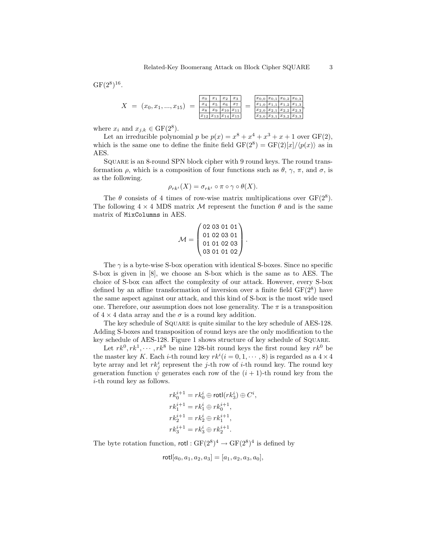$GF(2^8)^{16}$ .

| $= (x_0, x_1, , x_{15})$ | $x_0$ | $x_1$ | $x_2$                           | $x_3$ |  |  | $ x_{0,0} x_{0,1} x_{0,2} x_{0,3} $           |
|--------------------------|-------|-------|---------------------------------|-------|--|--|-----------------------------------------------|
|                          | $x_4$ | $x_5$ | $x_6$                           | $x_7$ |  |  | $x_{1,0}$   $x_{1,1}$   $x_{1,2}$   $x_{1,3}$ |
|                          | $x_8$ | $x_9$ | $ x_{10} x_{11}$                |       |  |  | $ x_{2,0} x_{2,1} x_{2,2} x_{2,3} $           |
|                          |       |       | $ x_{12} x_{13} x_{14} x_{15} $ |       |  |  | $ x_{3,0} x_{3,1} x_{3,2} x_{3,3} $           |

where  $x_i$  and  $x_{j,k} \in \text{GF}(2^8)$ .

Let an irreducible polynomial p be  $p(x) = x^8 + x^4 + x^3 + x + 1$  over  $GF(2)$ , which is the same one to define the finite field  $GF(2^8) = GF(2)[x]/\langle p(x) \rangle$  as in AES.

Square is an 8-round SPN block cipher with 9 round keys. The round transformation  $\rho$ , which is a composition of four functions such as  $\theta$ ,  $\gamma$ ,  $\pi$ , and  $\sigma$ , is as the following.

$$
\rho_{rk^i}(X) = \sigma_{rk^i} \circ \pi \circ \gamma \circ \theta(X).
$$

The  $\theta$  consists of 4 times of row-wise matrix multiplications over  $GF(2^8)$ . The following  $4 \times 4$  MDS matrix M represent the function  $\theta$  and is the same matrix of MixColumns in AES.

$$
\mathcal{M} = \begin{pmatrix} 02 & 03 & 01 & 01 \\ 01 & 02 & 03 & 01 \\ 01 & 01 & 02 & 03 \\ 03 & 01 & 01 & 02 \end{pmatrix}.
$$

The  $\gamma$  is a byte-wise S-box operation with identical S-boxes. Since no specific S-box is given in [8], we choose an S-box which is the same as to AES. The choice of S-box can affect the complexity of our attack. However, every S-box defined by an affine transformation of inversion over a finite field  $GF(2^8)$  have the same aspect against our attack, and this kind of S-box is the most wide used one. Therefore, our assumption does not lose generality. The  $\pi$  is a transposition of  $4 \times 4$  data array and the  $\sigma$  is a round key addition.

The key schedule of SQUARE is quite similar to the key schedule of AES-128. Adding S-boxes and transposition of round keys are the only modification to the key schedule of AES-128. Figure 1 shows structure of key schedule of Square.

Let  $rk^0, rk^1, \dots, rk^8$  be nine 128-bit round keys the first round key  $rk^0$  be the master key K. Each *i*-th round key  $rk^{i}(i = 0, 1, \dots, 8)$  is regarded as a  $4 \times 4$ byte array and let  $rk_j^i$  represent the j-th row of *i*-th round key. The round key generation function  $\dot{\psi}$  generates each row of the  $(i + 1)$ -th round key from the i-th round key as follows.

$$
\begin{aligned} rk_0^{i+1} &= rk_0^i \oplus \mathsf{rotl}(rk_3^i) \oplus C^i, \\ rk_1^{i+1} &= rk_1^i \oplus rk_0^{i+1}, \\ rk_2^{i+1} &= rk_2^i \oplus rk_1^{i+1}, \\ rk_3^{i+1} &= rk_3^i \oplus rk_2^{i+1}. \end{aligned}
$$

The byte rotation function,  $\text{rotl}: \text{GF}(2^8)^4 \to \text{GF}(2^8)^4$  is defined by

$$
rotl[a_0, a_1, a_2, a_3] = [a_1, a_2, a_3, a_0],
$$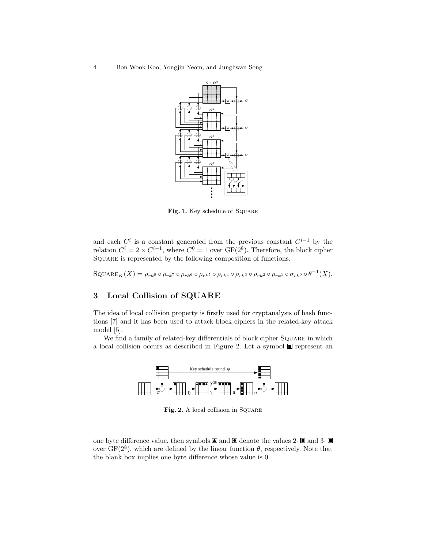4 Bon Wook Koo, Yongjin Yeom, and Junghwan Song



Fig. 1. Key schedule of SQUARE

and each  $C^i$  is a constant generated from the previous constant  $C^{i-1}$  by the relation  $C^i = 2 \times C^{i-1}$ , where  $C^0 = 1$  over  $GF(2^8)$ . Therefore, the block cipher Square is represented by the following composition of functions.

 $\mathrm{SQUARE}_K(X) = \rho_{rk^8} \circ \rho_{rk^7} \circ \rho_{rk^6} \circ \rho_{rk^5} \circ \rho_{rk^4} \circ \rho_{rk^3} \circ \rho_{rk^2} \circ \rho_{rk^1} \circ \sigma_{rk^0} \circ \theta^{-1}(X).$ 

# 3 Local Collision of SQUARE

The idea of local collision property is firstly used for cryptanalysis of hash functions [7] and it has been used to attack block ciphers in the related-key attack model [5].

We find a family of related-key differentials of block cipher SQUARE in which a local collision occurs as described in Figure 2. Let a symbol  $\blacksquare$  represent an



Fig. 2. A local collision in SQUARE

one byte difference value, then symbols  $\blacksquare$  and  $\blacksquare$  denote the values 2 $\blacksquare$  and 3 $\blacksquare$ over  $GF(2^8)$ , which are defined by the linear function  $\theta$ , respectively. Note that the blank box implies one byte difference whose value is 0.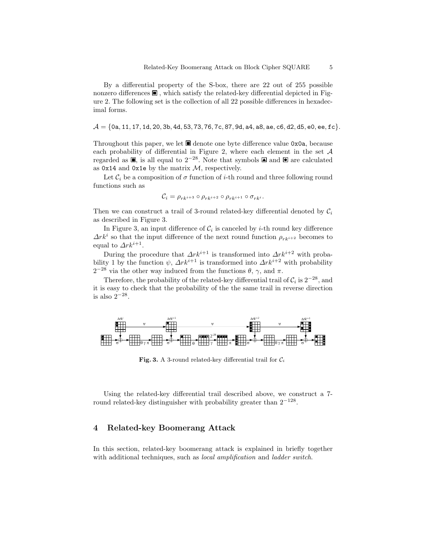By a differential property of the S-box, there are 22 out of 255 possible nonzero differences  $\blacksquare$ , which satisfy the related-key differential depicted in Figure 2. The following set is the collection of all 22 possible differences in hexadecimal forms.

 $\mathcal{A} = \{0, 11, 17, 11, 20, 3b, 4d, 53, 73, 76, 7c, 87, 9d, a4, a8, ae, c6, d2, d5, e0, ee, fc\}.$ 

Throughout this paper, we let  $\blacksquare$  denote one byte difference value  $0$ x0a, because each probability of differential in Figure 2, where each element in the set A regarded as  $\blacksquare$ , is all equal to  $2^{-28}$ . Note that symbols  $\blacksquare$  and  $\blacksquare$  are calculated as  $0x14$  and  $0x1e$  by the matrix  $M$ , respectively.

Let  $\mathcal{C}_i$  be a composition of  $\sigma$  function of i-th round and three following round functions such as

$$
\mathcal{C}_i = \rho_{rk^{i+3}} \circ \rho_{rk^{i+2}} \circ \rho_{rk^{i+1}} \circ \sigma_{rk^i}.
$$

Then we can construct a trail of 3-round related-key differential denoted by  $C_i$ as described in Figure 3.

In Figure 3, an input difference of  $\mathcal{C}_i$  is canceled by *i*-th round key difference  $\Delta r k^i$  so that the input difference of the next round function  $\rho_{r k^{i+2}}$  becomes to equal to  $\Delta r k^{i+1}$ .

During the procedure that  $\Delta r k^{i+1}$  is transformed into  $\Delta r k^{i+2}$  with probability 1 by the function  $\psi$ ,  $\Delta r k^{i+1}$  is transformed into  $\Delta r k^{i+2}$  with probability  $2^{-28}$  via the other way induced from the functions  $θ$ ,  $γ$ , and  $π$ .

Therefore, the probability of the related-key differential trail of  $C_i$  is  $2^{-28}$ , and it is easy to check that the probability of the the same trail in reverse direction is also  $2^{-28}$ .



Fig. 3. A 3-round related-key differential trail for  $C_i$ 

Using the related-key differential trail described above, we construct a 7 round related-key distinguisher with probability greater than  $2^{-128}$ .

# 4 Related-key Boomerang Attack

In this section, related-key boomerang attack is explained in briefly together with additional techniques, such as *local amplification* and *ladder switch*.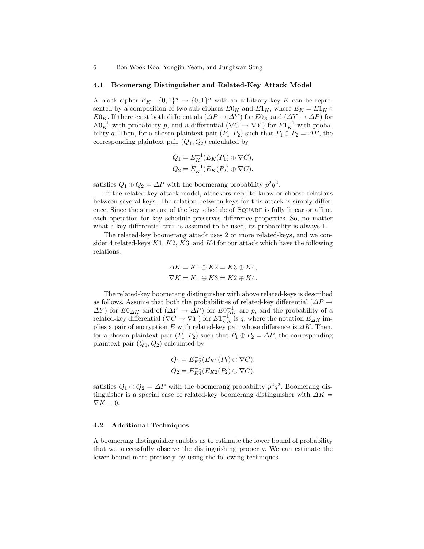#### 4.1 Boomerang Distinguisher and Related-Key Attack Model

A block cipher  $E_K: \{0,1\}^n \to \{0,1\}^n$  with an arbitrary key K can be represented by a composition of two sub-ciphers  $E0_K$  and  $E1_K$ , where  $E_K = E1_K \circ$  $E0_K$ . If there exist both differentials  $(\Delta P \to \Delta Y)$  for  $E0_K$  and  $(\Delta Y \to \Delta P)$  for  $E0_K^{-1}$  with probability p, and a differential  $(\nabla C \to \nabla Y)$  for  $E1_K^{-1}$  with probability q. Then, for a chosen plaintext pair  $(P_1, P_2)$  such that  $P_1 \oplus P_2 = \Delta P$ , the corresponding plaintext pair  $(Q_1, Q_2)$  calculated by

$$
Q_1 = E_K^{-1}(E_K(P_1) \oplus \nabla C),
$$
  
\n
$$
Q_2 = E_K^{-1}(E_K(P_2) \oplus \nabla C),
$$

satisfies  $Q_1 \oplus Q_2 = \Delta P$  with the boomerang probability  $p^2q^2$ .

In the related-key attack model, attackers need to know or choose relations between several keys. The relation between keys for this attack is simply difference. Since the structure of the key schedule of Square is fully linear or affine, each operation for key schedule preserves difference properties. So, no matter what a key differential trail is assumed to be used, its probability is always 1.

The related-key boomerang attack uses 2 or more related-keys, and we consider 4 related-keys  $K1, K2, K3$ , and  $K4$  for our attack which have the following relations,

$$
\Delta K = K1 \oplus K2 = K3 \oplus K4,
$$
  

$$
\nabla K = K1 \oplus K3 = K2 \oplus K4.
$$

The related-key boomerang distinguisher with above related-keys is described as follows. Assume that both the probabilities of related-key differential ( $\Delta P \rightarrow$  $\Delta Y$ ) for  $E0_{\Delta K}$  and of  $(\Delta Y \to \Delta P)$  for  $E0_{\Delta K}^{-1}$  are p, and the probability of a related-key differential  $(\nabla C \to \nabla Y)$  for  $E1\overset{\text{def}}{\nabla}$  is q, where the notation  $E_{\Delta K}$  implies a pair of encryption E with related-key pair whose difference is  $\Delta K$ . Then, for a chosen plaintext pair  $(P_1, P_2)$  such that  $P_1 \oplus P_2 = \Delta P$ , the corresponding plaintext pair  $(Q_1, Q_2)$  calculated by

$$
Q_1 = E_{K3}^{-1}(E_{K1}(P_1) \oplus \nabla C),
$$
  
\n
$$
Q_2 = E_{K4}^{-1}(E_{K2}(P_2) \oplus \nabla C),
$$

satisfies  $Q_1 \oplus Q_2 = \Delta P$  with the boomerang probability  $p^2q^2$ . Boomerang distinguisher is a special case of related-key boomerang distinguisher with  $\Delta K =$  $\nabla K = 0.$ 

### 4.2 Additional Techniques

A boomerang distinguisher enables us to estimate the lower bound of probability that we successfully observe the distinguishing property. We can estimate the lower bound more precisely by using the following techniques.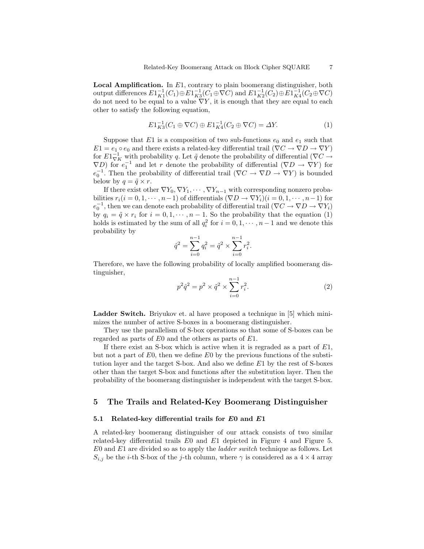**Local Amplification.** In  $E1$ , contrary to plain boomerang distinguisher, both output differences  $E1_{K1}^{-1}(C_1) \oplus E1_{K3}^{-1}(C_1 \oplus \nabla C)$  and  $E1_{K2}^{-1}(C_2) \oplus E1_{K4}^{-1}(C_2 \oplus \nabla C)$ do not need to be equal to a value  $\nabla Y$ , it is enough that they are equal to each other to satisfy the following equation,

$$
E1_{K3}^{-1}(C_1 \oplus \nabla C) \oplus E1_{K4}^{-1}(C_2 \oplus \nabla C) = \Delta Y.
$$
 (1)

Suppose that E1 is a composition of two sub-functions  $e_0$  and  $e_1$  such that  $E1 = e_1 \circ e_0$  and there exists a related-key differential trail  $(\nabla C \to \nabla D \to \nabla Y)$ for  $E1_{\nabla K}^{-1}$  with probability q. Let  $\tilde{q}$  denote the probability of differential ( $\nabla C \rightarrow$  $\nabla D$ ) for  $e_1^{-1}$  and let r denote the probability of differential  $(\nabla D \to \nabla Y)$  for  $e_0^{-1}$ . Then the probability of differential trail  $(\nabla C \to \nabla D \to \nabla Y)$  is bounded below by  $q = \tilde{q} \times r$ .

If there exist other  $\nabla Y_0, \nabla Y_1, \cdots, \nabla Y_{n-1}$  with corresponding nonzero probabilities  $r_i(i = 0, 1, \dots, n-1)$  of differentials  $(\nabla D \to \nabla Y_i)(i = 0, 1, \dots, n-1)$  for  $e_0^{-1}$ , then we can denote each probability of differential trail  $(\nabla C \to \nabla D \to \nabla Y_i)$ by  $q_i = \tilde{q} \times r_i$  for  $i = 0, 1, \dots, n - 1$ . So the probability that the equation (1) holds is estimated by the sum of all  $q_i^2$  for  $i = 0, 1, \dots, n-1$  and we denote this probability by

$$
\hat{q}^2 = \sum_{i=0}^{n-1} q_i^2 = \tilde{q}^2 \times \sum_{i=0}^{n-1} r_i^2.
$$

Therefore, we have the following probability of locally amplified boomerang distinguisher,

$$
p^2\hat{q}^2 = p^2 \times \tilde{q}^2 \times \sum_{i=0}^{n-1} r_i^2.
$$
 (2)

Ladder Switch. Briyukov et. al have proposed a technique in [5] which minimizes the number of active S-boxes in a boomerang distinguisher.

They use the parallelism of S-box operations so that some of S-boxes can be regarded as parts of E0 and the others as parts of E1.

If there exist an S-box which is active when it is regraded as a part of  $E1$ , but not a part of  $E_0$ , then we define  $E_0$  by the previous functions of the substitution layer and the target S-box. And also we define E1 by the rest of S-boxes other than the target S-box and functions after the substitution layer. Then the probability of the boomerang distinguisher is independent with the target S-box.

### 5 The Trails and Related-Key Boomerang Distinguisher

#### 5.1 Related-key differential trails for  $E0$  and  $E1$

A related-key boomerang distinguisher of our attack consists of two similar related-key differential trails E0 and E1 depicted in Figure 4 and Figure 5. E0 and E1 are divided so as to apply the ladder switch technique as follows. Let  $S_{i,j}$  be the *i*-th S-box of the *j*-th column, where  $\gamma$  is considered as a 4 × 4 array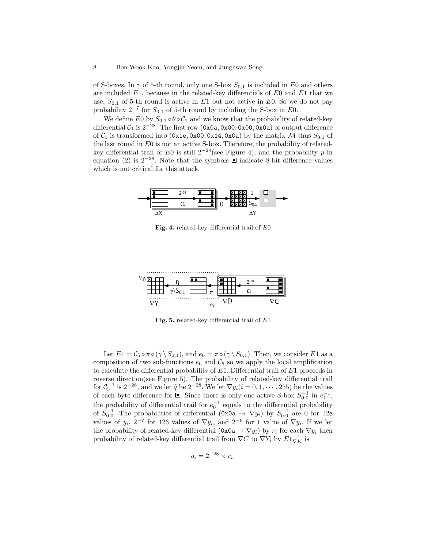of S-boxes. In  $\gamma$  of 5-th round, only one S-box  $S_{0,1}$  is included in E0 and others are included  $E1$ , because in the related-key differentials of  $E0$  and  $E1$  that we use,  $S_{0,1}$  of 5-th round is active in E1 but not active in E0. So we do not pay probability  $2^{-7}$  for  $S_{0,1}$  of 5-th round by including the S-box in E0.

We define E0 by  $S_{0,1} \circ \theta \circ C_1$  and we know that the probability of related-key differential  $C_1$  is  $2^{-28}$ . The first row (0x0a, 0x00, 0x00, 0x0a) of output difference of  $C_1$  is transformed into (0x1e, 0x00, 0x14, 0x0a) by the matrix M thus  $S_{0,1}$  of the last round in  $E0$  is not an active S-box. Therefore, the probability of relatedkey differential trail of E0 is still  $2^{-28}$ (see Figure 4), and the probability p in equation (2) is  $2^{-28}$ . Note that the symbols  $\overline{\boxtimes}$  indicate 8-bit difference values which is not critical for this attack.



Fig. 4. related-key differential trail of E0



Fig. 5. related-key differential trail of E1

Let  $E1 = C_5 \circ \pi \circ (\gamma \setminus S_{0,1})$ , and  $e_0 = \pi \circ (\gamma \setminus S_{0,1})$ . Then, we consider  $E1$  as a composition of two sub-functions  $e_0$  and  $C_5$  so we apply the local amplification to calculate the differential probability of  $E1$ . Differential trail of  $E1$  proceeds in reverse direction(see Figure 5). The probability of related-key differential trail for  $C_5^{-1}$  is  $2^{-28}$ , and we let  $\tilde{q}$  be  $2^{-28}$ . We let  $\nabla y_i(i=0,1,\dots,255)$  be the values of each byte difference for  $\boxtimes$ . Since there is only one active S-box  $S_{0,0}^{-1}$  in  $e_1^{-1}$ , the probability of differential trail for  $e_0^{-1}$  equals to the differential probability of  $S_{0,0}^{-1}$ . The probabilities of differential  $(0x0a \rightarrow \nabla y_i)$  by  $S_{0,0}^{-1}$  are 0 for 128 values of  $y_i$ ,  $2^{-7}$  for 126 values of  $\nabla y_i$ , and  $2^{-6}$  for 1 value of  $\nabla y_i$ . If we let the probability of related-key differential  $(0x0a \rightarrow \nabla y_i)$  by  $r_i$  for each  $\nabla y_i$  then probability of related-key differential trail from  $\nabla C$  to  $\nabla Y_i$  by  $E1_{\nabla K}^{-1}$  is

$$
q_i = 2^{-28} \times r_i.
$$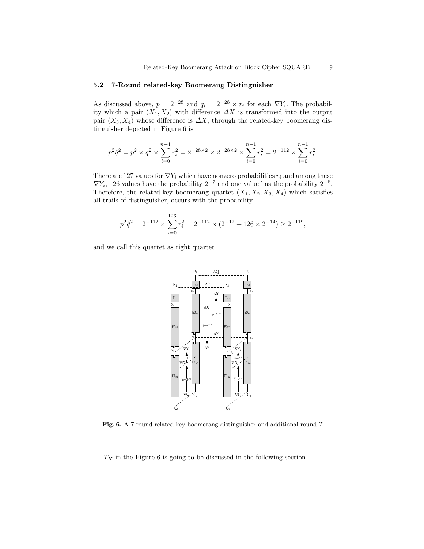#### 5.2 7-Round related-key Boomerang Distinguisher

As discussed above,  $p = 2^{-28}$  and  $q_i = 2^{-28} \times r_i$  for each  $\nabla Y_i$ . The probability which a pair  $(X_1, X_2)$  with difference  $\Delta X$  is transformed into the output pair  $(X_3, X_4)$  whose difference is  $\Delta X$ , through the related-key boomerang distinguisher depicted in Figure 6 is

$$
p^2\hat{q}^2 = p^2 \times \hat{q}^2 \times \sum_{i=0}^{n-1} r_i^2 = 2^{-28 \times 2} \times 2^{-28 \times 2} \times \sum_{i=0}^{n-1} r_i^2 = 2^{-112} \times \sum_{i=0}^{n-1} r_i^2.
$$

There are 127 values for  $\nabla Y_i$  which have nonzero probabilities  $r_i$  and among these  $\nabla Y_i$ , 126 values have the probability 2<sup>-7</sup> and one value has the probability 2<sup>-6</sup>. Therefore, the related-key boomerang quartet  $(X_1, X_2, X_3, X_4)$  which satisfies all trails of distinguisher, occurs with the probability

$$
p^2\hat{q}^2 = 2^{-112} \times \sum_{i=0}^{126} r_i^2 = 2^{-112} \times (2^{-12} + 126 \times 2^{-14}) \ge 2^{-119},
$$

and we call this quartet as right quartet.



Fig. 6. A 7-round related-key boomerang distinguisher and additional round T

 $T_K$  in the Figure 6 is going to be discussed in the following section.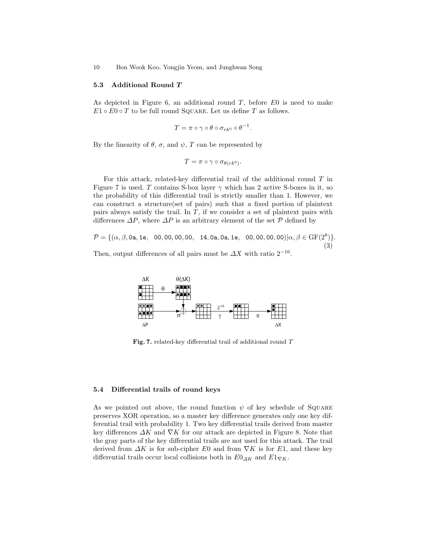#### 5.3 Additional Round T

As depicted in Figure 6, an additional round  $T$ , before  $E0$  is need to make  $E1 \circ E0 \circ T$  to be full round SQUARE. Let us define T as follows.

$$
T=\pi\circ\gamma\circ\theta\circ\sigma_{rk^0}\circ\theta^{-1}.
$$

By the linearity of  $\theta$ ,  $\sigma$ , and  $\psi$ ,  $T$  can be represented by

$$
T = \pi \circ \gamma \circ \sigma_{\theta(rk^0)}.
$$

For this attack, related-key differential trail of the additional round  $T$  in Figure 7 is used. T contains S-box layer  $\gamma$  which has 2 active S-boxes in it, so the probability of this differential trail is strictly smaller than 1. However, we can construct a structure(set of pairs) such that a fixed portion of plaintext pairs always satisfy the trail. In  $T$ , if we consider a set of plaintext pairs with differences  $\Delta P$ , where  $\Delta P$  is an arbitrary element of the set  $P$  defined by

 $\mathcal{P} = \{(\alpha,\beta,0\texttt{a},1\texttt{e}, \phantom{-}00,00,00,00, \phantom{-}14,0\texttt{a},0\texttt{a},1\texttt{e}, \phantom{-}00,00,00,00)|\alpha,\beta\in\text{GF}(2^8)\}.$ (3)

Then, output differences of all pairs must be  $\Delta X$  with ratio  $2^{-16}$ .



Fig. 7. related-key differential trail of additional round T

### 5.4 Differential trails of round keys

As we pointed out above, the round function  $\psi$  of key schedule of SQUARE preserves XOR operation, so a master key difference generates only one key differential trail with probability 1. Two key differential trails derived from master key differences  $\Delta K$  and  $\nabla K$  for our attack are depicted in Figure 8. Note that the gray parts of the key differential trails are not used for this attack. The trail derived from  $\Delta K$  is for sub-cipher E0 and from  $\nabla K$  is for E1, and these key differential trails occur local collisions both in  $E0_{\Delta K}$  and  $E1_{\nabla K}$ .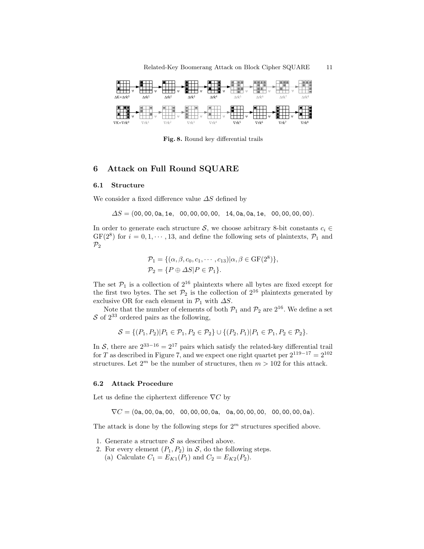

Fig. 8. Round key differential trails

# 6 Attack on Full Round SQUARE

#### 6.1 Structure

We consider a fixed difference value  $\Delta S$  defined by

 $\Delta S = (00, 00, 0a, 1e, 00, 00, 00, 00, 14, 0a, 0a, 1e, 00, 00, 00).$ 

In order to generate each structure S, we choose arbitrary 8-bit constants  $c_i \in$  $GF(2^8)$  for  $i = 0, 1, \dots, 13$ , and define the following sets of plaintexts,  $\mathcal{P}_1$  and  $\mathcal{P}_2$ 

$$
\mathcal{P}_1 = \{ (\alpha, \beta, c_0, c_1, \cdots, c_{13}) | \alpha, \beta \in \text{GF}(2^8) \},
$$
  

$$
\mathcal{P}_2 = \{ P \oplus \Delta S | P \in \mathcal{P}_1 \}.
$$

The set  $\mathcal{P}_1$  is a collection of  $2^{16}$  plaintexts where all bytes are fixed except for the first two bytes. The set  $\mathcal{P}_2$  is the collection of  $2^{16}$  plaintexts generated by exclusive OR for each element in  $\mathcal{P}_1$  with  $\Delta S$ .

Note that the number of elements of both  $\mathcal{P}_1$  and  $\mathcal{P}_2$  are  $2^{16}$ . We define a set  $S$  of  $2^{33}$  ordered pairs as the following,

$$
S = \{ (P_1, P_2) | P_1 \in \mathcal{P}_1, P_2 \in \mathcal{P}_2 \} \cup \{ (P_2, P_1) | P_1 \in \mathcal{P}_1, P_2 \in \mathcal{P}_2 \}.
$$

In S, there are  $2^{33-16} = 2^{17}$  pairs which satisfy the related-key differential trail for T as described in Figure 7, and we expect one right quartet per  $2^{119-17} = 2^{102}$ structures. Let  $2^m$  be the number of structures, then  $m > 102$  for this attack.

#### 6.2 Attack Procedure

Let us define the ciphertext difference  $\nabla C$  by

∇C = (0a, 00, 0a, 00, 00, 00, 00, 0a, 0a, 00, 00, 00, 00, 00, 00, 0a).

The attack is done by the following steps for  $2<sup>m</sup>$  structures specified above.

- 1. Generate a structure  $S$  as described above.
- 2. For every element  $(P_1, P_2)$  in S, do the following steps.
	- (a) Calculate  $C_1 = E_{K1}(P_1)$  and  $C_2 = E_{K2}(P_2)$ .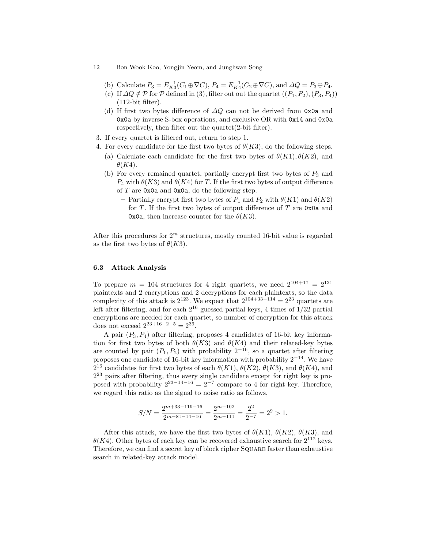- 12 Bon Wook Koo, Yongjin Yeom, and Junghwan Song
	- (b) Calculate  $P_3 = E_{K3}^{-1}(C_1 \oplus \nabla C)$ ,  $P_4 = E_{K4}^{-1}(C_2 \oplus \nabla C)$ , and  $\Delta Q = P_3 \oplus P_4$ .
	- (c) If  $\Delta Q \notin \mathcal{P}$  for  $\mathcal{P}$  defined in (3), filter out out the quartet  $((P_1, P_2), (P_3, P_4))$  $(112$ -bit filter).
	- (d) If first two bytes difference of  $\Delta Q$  can not be derived from 0x0a and 0x0a by inverse S-box operations, and exclusive OR with 0x14 and 0x0a respectively, then filter out the quartet(2-bit filter).
- 3. If every quartet is filtered out, return to step 1.
- 4. For every candidate for the first two bytes of  $\theta(K3)$ , do the following steps.
	- (a) Calculate each candidate for the first two bytes of  $\theta(K1), \theta(K2)$ , and  $\theta(K4)$ .
	- (b) For every remained quartet, partially encrypt first two bytes of  $P_3$  and  $P_4$  with  $\theta(K3)$  and  $\theta(K4)$  for T. If the first two bytes of output difference of  $T$  are  $0x0a$  and  $0x0a$ , do the following step.
		- Partially encrypt first two bytes of  $P_1$  and  $P_2$  with  $\theta(K1)$  and  $\theta(K2)$ for T. If the first two bytes of output difference of T are  $0x0a$  and 0x0a, then increase counter for the  $\theta(K3)$ .

After this procedures for  $2<sup>m</sup>$  structures, mostly counted 16-bit value is regarded as the first two bytes of  $\theta(K3)$ .

### 6.3 Attack Analysis

To prepare  $m = 104$  structures for 4 right quartets, we need  $2^{104+17} = 2^{121}$ plaintexts and 2 encryptions and 2 decryptions for each plaintexts, so the data complexity of this attack is  $2^{123}$ . We expect that  $2^{104+33-114} = 2^{23}$  quartets are left after filtering, and for each  $2^{16}$  guessed partial keys, 4 times of  $1/32$  partial encryptions are needed for each quartet, so number of encryption for this attack does not exceed  $2^{23+16+2-5} = 2^{36}$ .

A pair  $(P_3, P_4)$  after filtering, proposes 4 candidates of 16-bit key information for first two bytes of both  $\theta(K3)$  and  $\theta(K4)$  and their related-key bytes are counted by pair  $(P_1, P_2)$  with probability  $2^{-16}$ , so a quartet after filtering proposes one candidate of 16-bit key information with probability  $2^{-14}$ . We have 2<sup>16</sup> candidates for first two bytes of each  $\theta(K1)$ ,  $\theta(K2)$ ,  $\theta(K3)$ , and  $\theta(K4)$ , and 2 <sup>23</sup> pairs after filtering, thus every single candidate except for right key is proposed with probability  $2^{23-14-16} = 2^{-7}$  compare to 4 for right key. Therefore, we regard this ratio as the signal to noise ratio as follows,

$$
S/N = \frac{2^{m+33-119-16}}{2^{m-81-14-16}} = \frac{2^{m-102}}{2^{m-111}} = \frac{2^2}{2^{-7}} = 2^9 > 1.
$$

After this attack, we have the first two bytes of  $\theta(K1)$ ,  $\theta(K2)$ ,  $\theta(K3)$ , and  $\theta(K4)$ . Other bytes of each key can be recovered exhaustive search for  $2^{112}$  keys. Therefore, we can find a secret key of block cipher Square faster than exhaustive search in related-key attack model.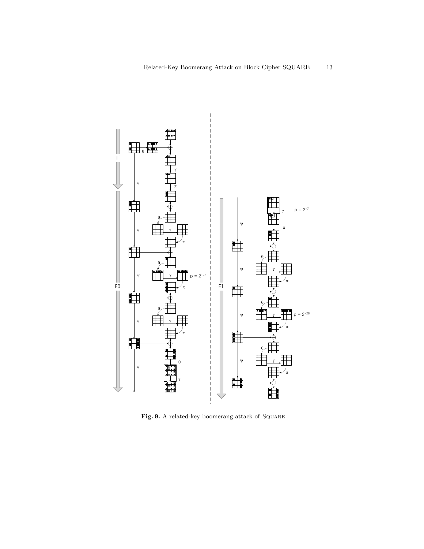

Fig. 9. A related-key boomerang attack of SQUARE